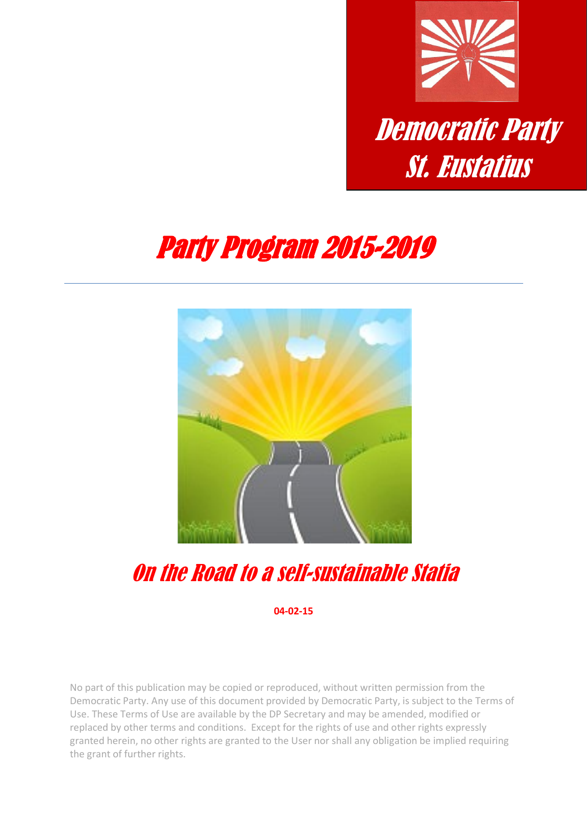

# Party Program 2015-2019



On the Road to a self-sustainable Statia

**04-02-15**

No part of this publication may be copied or reproduced, without written permission from the Democratic Party. Any use of this document provided by Democratic Party, is subject to the Terms of Use. These Terms of Use are available by the DP Secretary and may be amended, modified or replaced by other terms and conditions. Except for the rights of use and other rights expressly granted herein, no other rights are granted to the User nor shall any obligation be implied requiring the grant of further rights.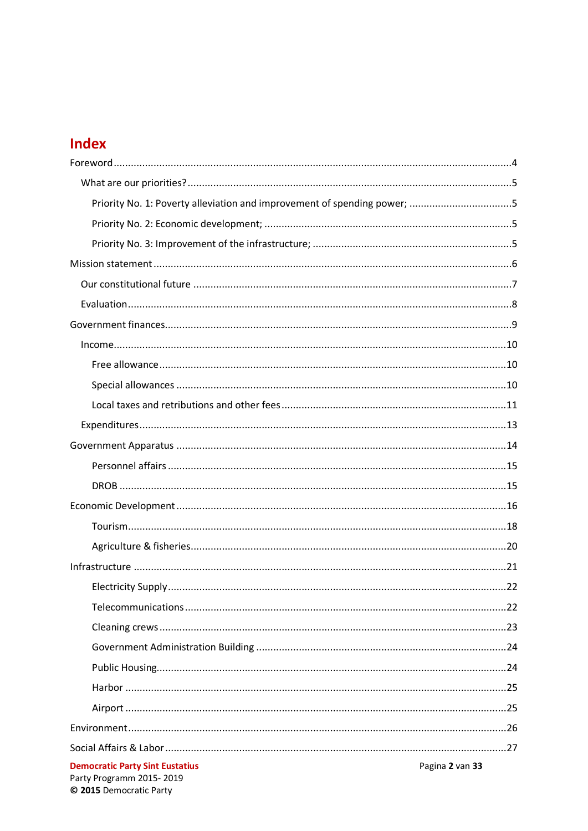### **Index**

| Priority No. 1: Poverty alleviation and improvement of spending power; 5 |                 |
|--------------------------------------------------------------------------|-----------------|
|                                                                          |                 |
|                                                                          |                 |
|                                                                          |                 |
|                                                                          |                 |
|                                                                          |                 |
|                                                                          |                 |
|                                                                          |                 |
|                                                                          |                 |
|                                                                          |                 |
|                                                                          |                 |
|                                                                          |                 |
|                                                                          |                 |
|                                                                          |                 |
|                                                                          |                 |
|                                                                          |                 |
|                                                                          |                 |
|                                                                          |                 |
|                                                                          |                 |
|                                                                          |                 |
|                                                                          |                 |
|                                                                          |                 |
|                                                                          |                 |
|                                                                          |                 |
|                                                                          |                 |
|                                                                          |                 |
|                                                                          |                 |
|                                                                          |                 |
| <b>Democratic Party Sint Eustatius</b>                                   | Pagina 2 van 33 |
| Party Programm 2015-2019                                                 |                 |

© 2015 Democratic Party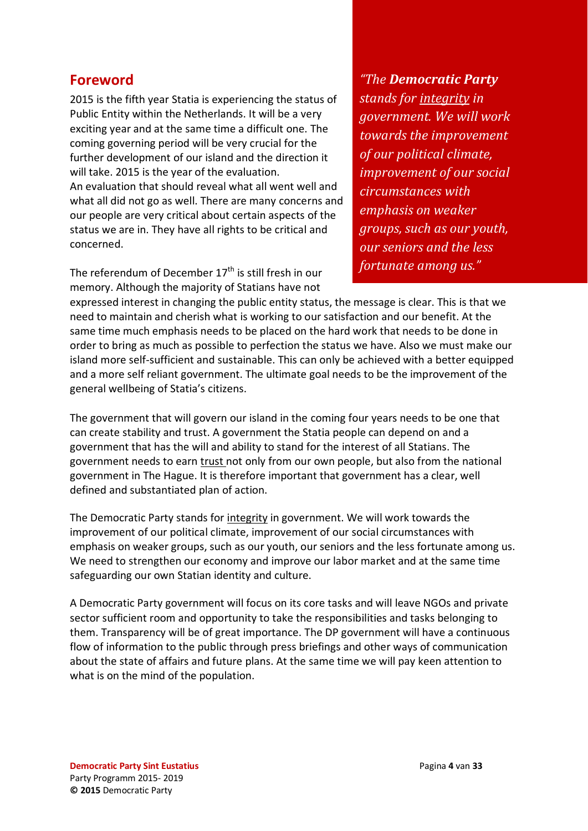### <span id="page-3-0"></span>**Foreword**

2015 is the fifth year Statia is experiencing the status of Public Entity within the Netherlands. It will be a very exciting year and at the same time a difficult one. The coming governing period will be very crucial for the further development of our island and the direction it will take. 2015 is the year of the evaluation. An evaluation that should reveal what all went well and what all did not go as well. There are many concerns and our people are very critical about certain aspects of the status we are in. They have all rights to be critical and concerned.

The referendum of December  $17<sup>th</sup>$  is still fresh in our memory. Although the majority of Statians have not

*"The Democratic Party stands for integrity in government. We will work towards the improvement of our political climate, improvement of our social circumstances with emphasis on weaker groups, such as our youth, our seniors and the less fortunate among us."*

expressed interest in changing the public entity status, the message is clear. This is that we need to maintain and cherish what is working to our satisfaction and our benefit. At the same time much emphasis needs to be placed on the hard work that needs to be done in order to bring as much as possible to perfection the status we have. Also we must make our island more self-sufficient and sustainable. This can only be achieved with a better equipped and a more self reliant government. The ultimate goal needs to be the improvement of the general wellbeing of Statia's citizens.

The government that will govern our island in the coming four years needs to be one that can create stability and trust. A government the Statia people can depend on and a government that has the will and ability to stand for the interest of all Statians. The government needs to earn trust not only from our own people, but also from the national government in The Hague. It is therefore important that government has a clear, well defined and substantiated plan of action.

The Democratic Party stands for integrity in government. We will work towards the improvement of our political climate, improvement of our social circumstances with emphasis on weaker groups, such as our youth, our seniors and the less fortunate among us. We need to strengthen our economy and improve our labor market and at the same time safeguarding our own Statian identity and culture.

A Democratic Party government will focus on its core tasks and will leave NGOs and private sector sufficient room and opportunity to take the responsibilities and tasks belonging to them. Transparency will be of great importance. The DP government will have a continuous flow of information to the public through press briefings and other ways of communication about the state of affairs and future plans. At the same time we will pay keen attention to what is on the mind of the population.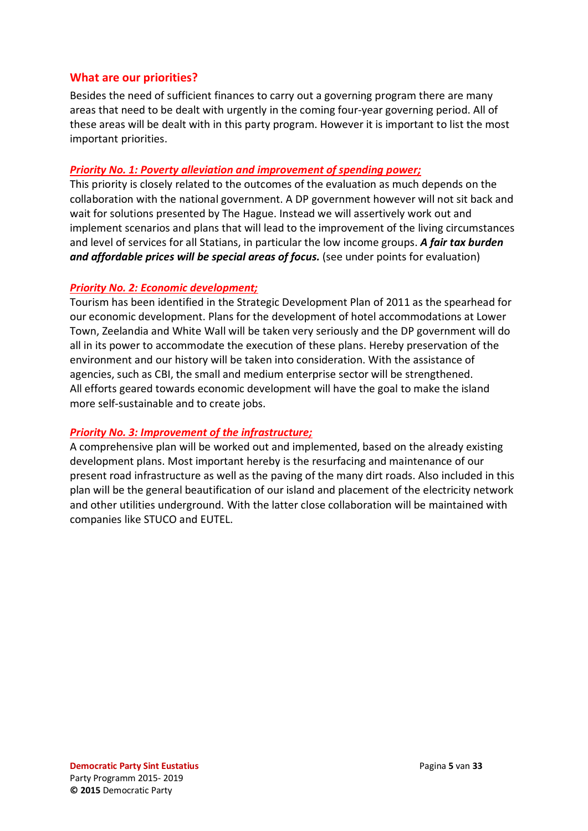#### <span id="page-4-0"></span>**What are our priorities?**

Besides the need of sufficient finances to carry out a governing program there are many areas that need to be dealt with urgently in the coming four-year governing period. All of these areas will be dealt with in this party program. However it is important to list the most important priorities.

#### <span id="page-4-1"></span>*Priority No. 1: Poverty alleviation and improvement of spending power;*

This priority is closely related to the outcomes of the evaluation as much depends on the collaboration with the national government. A DP government however will not sit back and wait for solutions presented by The Hague. Instead we will assertively work out and implement scenarios and plans that will lead to the improvement of the living circumstances and level of services for all Statians, in particular the low income groups. *A fair tax burden and affordable prices will be special areas of focus.* (see under points for evaluation)

#### <span id="page-4-2"></span>*Priority No. 2: Economic development;*

Tourism has been identified in the Strategic Development Plan of 2011 as the spearhead for our economic development. Plans for the development of hotel accommodations at Lower Town, Zeelandia and White Wall will be taken very seriously and the DP government will do all in its power to accommodate the execution of these plans. Hereby preservation of the environment and our history will be taken into consideration. With the assistance of agencies, such as CBI, the small and medium enterprise sector will be strengthened. All efforts geared towards economic development will have the goal to make the island more self-sustainable and to create jobs.

#### <span id="page-4-3"></span>*Priority No. 3: Improvement of the infrastructure;*

A comprehensive plan will be worked out and implemented, based on the already existing development plans. Most important hereby is the resurfacing and maintenance of our present road infrastructure as well as the paving of the many dirt roads. Also included in this plan will be the general beautification of our island and placement of the electricity network and other utilities underground. With the latter close collaboration will be maintained with companies like STUCO and EUTEL.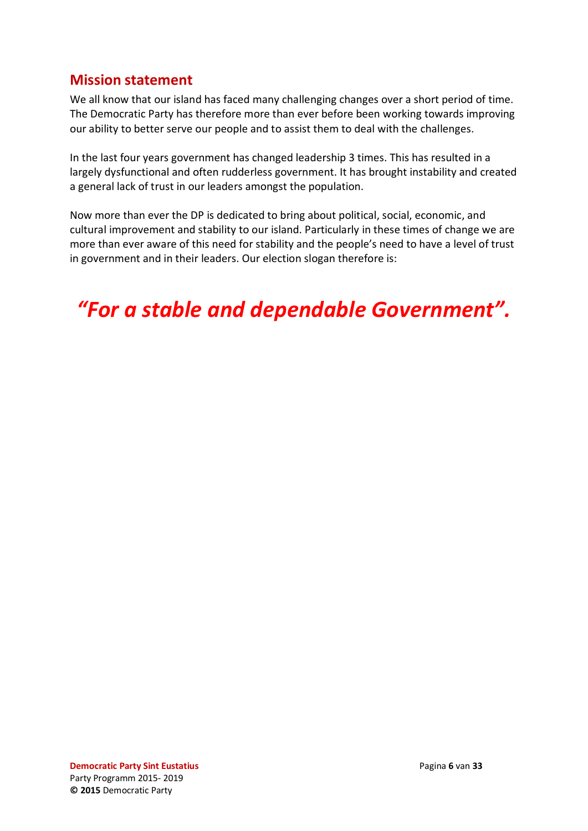### <span id="page-5-0"></span>**Mission statement**

We all know that our island has faced many challenging changes over a short period of time. The Democratic Party has therefore more than ever before been working towards improving our ability to better serve our people and to assist them to deal with the challenges.

In the last four years government has changed leadership 3 times. This has resulted in a largely dysfunctional and often rudderless government. It has brought instability and created a general lack of trust in our leaders amongst the population.

Now more than ever the DP is dedicated to bring about political, social, economic, and cultural improvement and stability to our island. Particularly in these times of change we are more than ever aware of this need for stability and the people's need to have a level of trust in government and in their leaders. Our election slogan therefore is:

*"For a stable and dependable Government".*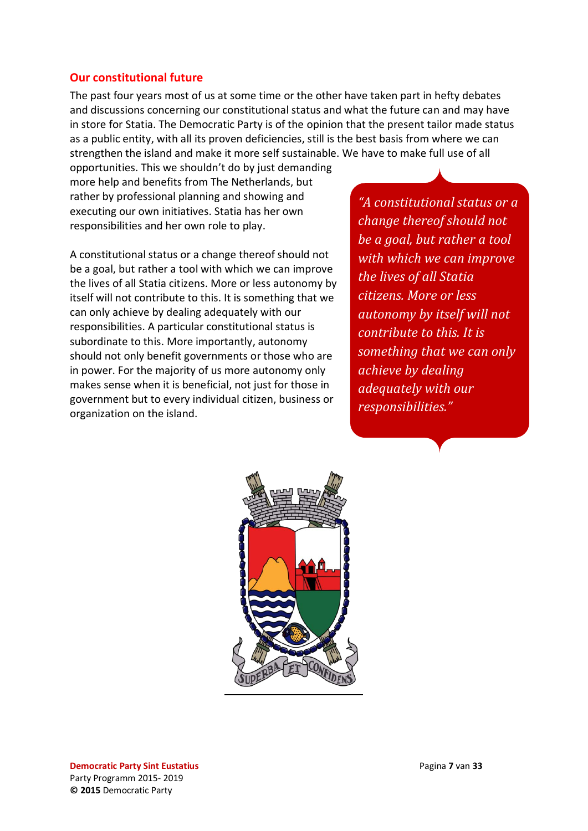#### <span id="page-6-0"></span>**Our constitutional future**

The past four years most of us at some time or the other have taken part in hefty debates and discussions concerning our constitutional status and what the future can and may have in store for Statia. The Democratic Party is of the opinion that the present tailor made status as a public entity, with all its proven deficiencies, still is the best basis from where we can strengthen the island and make it more self sustainable. We have to make full use of all

opportunities. This we shouldn't do by just demanding more help and benefits from The Netherlands, but rather by professional planning and showing and executing our own initiatives. Statia has her own responsibilities and her own role to play.

A constitutional status or a change thereof should not be a goal, but rather a tool with which we can improve the lives of all Statia citizens. More or less autonomy by itself will not contribute to this. It is something that we can only achieve by dealing adequately with our responsibilities. A particular constitutional status is subordinate to this. More importantly, autonomy should not only benefit governments or those who are in power. For the majority of us more autonomy only makes sense when it is beneficial, not just for those in government but to every individual citizen, business or organization on the island.

*"A constitutional status or a change thereof should not be a goal, but rather a tool with which we can improve the lives of all Statia citizens. More or less autonomy by itself will not contribute to this. It is something that we can only achieve by dealing adequately with our responsibilities."*

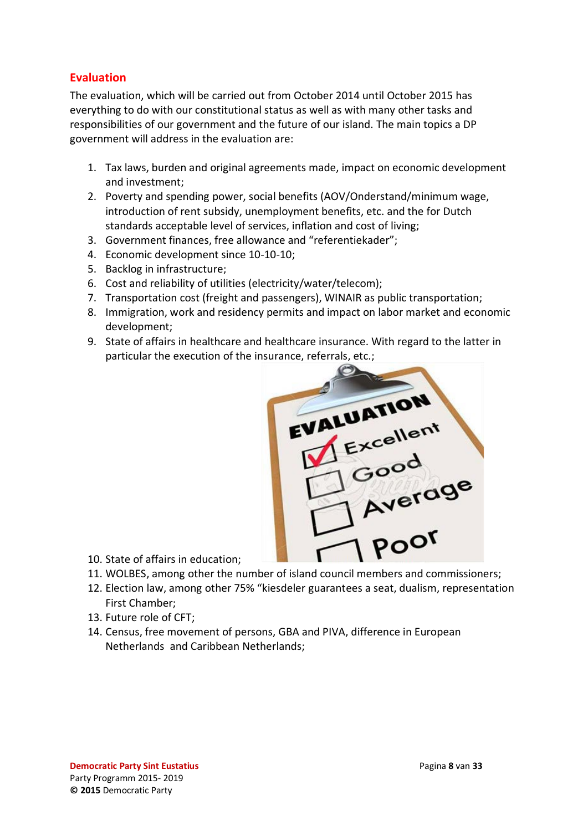### <span id="page-7-0"></span>**Evaluation**

The evaluation, which will be carried out from October 2014 until October 2015 has everything to do with our constitutional status as well as with many other tasks and responsibilities of our government and the future of our island. The main topics a DP government will address in the evaluation are:

- 1. Tax laws, burden and original agreements made, impact on economic development and investment;
- 2. Poverty and spending power, social benefits (AOV/Onderstand/minimum wage, introduction of rent subsidy, unemployment benefits, etc. and the for Dutch standards acceptable level of services, inflation and cost of living;
- 3. Government finances, free allowance and "referentiekader";
- 4. Economic development since 10-10-10;
- 5. Backlog in infrastructure;
- 6. Cost and reliability of utilities (electricity/water/telecom);
- 7. Transportation cost (freight and passengers), WINAIR as public transportation;
- 8. Immigration, work and residency permits and impact on labor market and economic development;
- 9. State of affairs in healthcare and healthcare insurance. With regard to the latter in particular the execution of the insurance, referrals, etc.;



- 10. State of affairs in education;
- 
- 12. Election law, among other 75% "kiesdeler guarantees a seat, dualism, representation First Chamber;
- 13. Future role of CFT;
- 14. Census, free movement of persons, GBA and PIVA, difference in European Netherlands and Caribbean Netherlands;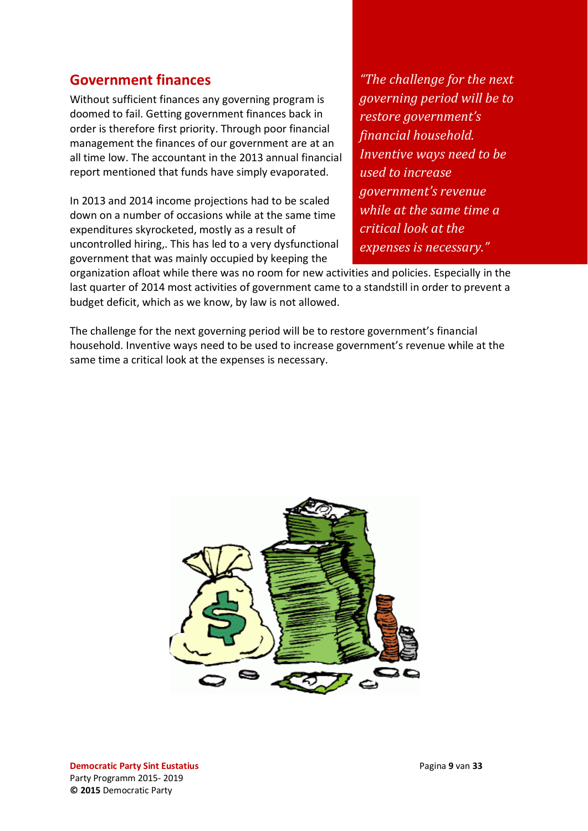### <span id="page-8-0"></span>**Government finances**

Without sufficient finances any governing program is doomed to fail. Getting government finances back in order is therefore first priority. Through poor financial management the finances of our government are at an all time low. The accountant in the 2013 annual financial report mentioned that funds have simply evaporated.

In 2013 and 2014 income projections had to be scaled down on a number of occasions while at the same time expenditures skyrocketed, mostly as a result of uncontrolled hiring,. This has led to a very dysfunctional government that was mainly occupied by keeping the

*"The challenge for the next governing period will be to restore government's financial household. Inventive ways need to be used to increase government's revenue while at the same time a critical look at the expenses is necessary."*

organization afloat while there was no room for new activities and policies. Especially in the last quarter of 2014 most activities of government came to a standstill in order to prevent a budget deficit, which as we know, by law is not allowed.

The challenge for the next governing period will be to restore government's financial household. Inventive ways need to be used to increase government's revenue while at the same time a critical look at the expenses is necessary.



**Democratic Party Sint Eustatius** Pagina **9** van **33** Party Programm 2015- 2019 **© 2015** Democratic Party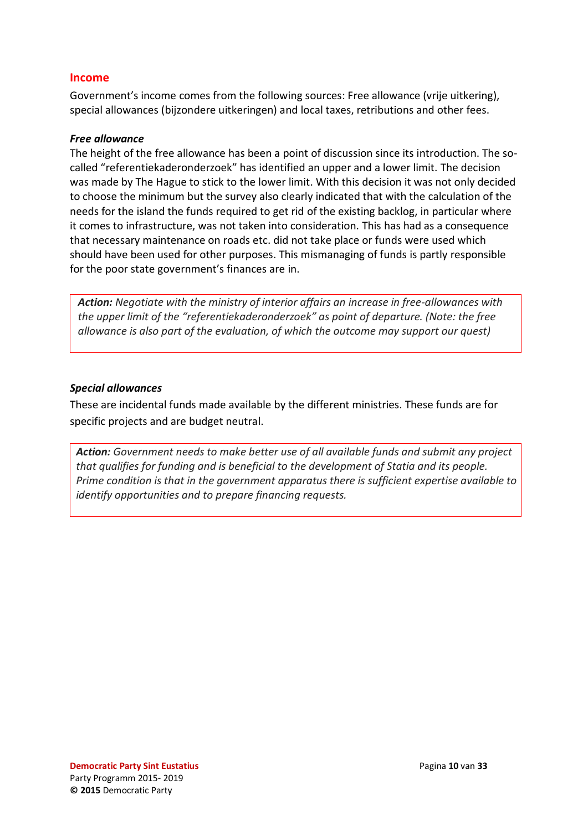#### <span id="page-9-0"></span>**Income**

Government's income comes from the following sources: Free allowance (vrije uitkering), special allowances (bijzondere uitkeringen) and local taxes, retributions and other fees.

#### <span id="page-9-1"></span>*Free allowance*

The height of the free allowance has been a point of discussion since its introduction. The socalled "referentiekaderonderzoek" has identified an upper and a lower limit. The decision was made by The Hague to stick to the lower limit. With this decision it was not only decided to choose the minimum but the survey also clearly indicated that with the calculation of the needs for the island the funds required to get rid of the existing backlog, in particular where it comes to infrastructure, was not taken into consideration. This has had as a consequence that necessary maintenance on roads etc. did not take place or funds were used which should have been used for other purposes. This mismanaging of funds is partly responsible for the poor state government's finances are in.

*Action: Negotiate with the ministry of interior affairs an increase in free-allowances with the upper limit of the "referentiekaderonderzoek" as point of departure. (Note: the free allowance is also part of the evaluation, of which the outcome may support our quest)*

#### <span id="page-9-2"></span>*Special allowances*

These are incidental funds made available by the different ministries. These funds are for specific projects and are budget neutral.

*Action: Government needs to make better use of all available funds and submit any project that qualifies for funding and is beneficial to the development of Statia and its people. Prime condition is that in the government apparatus there is sufficient expertise available to identify opportunities and to prepare financing requests.*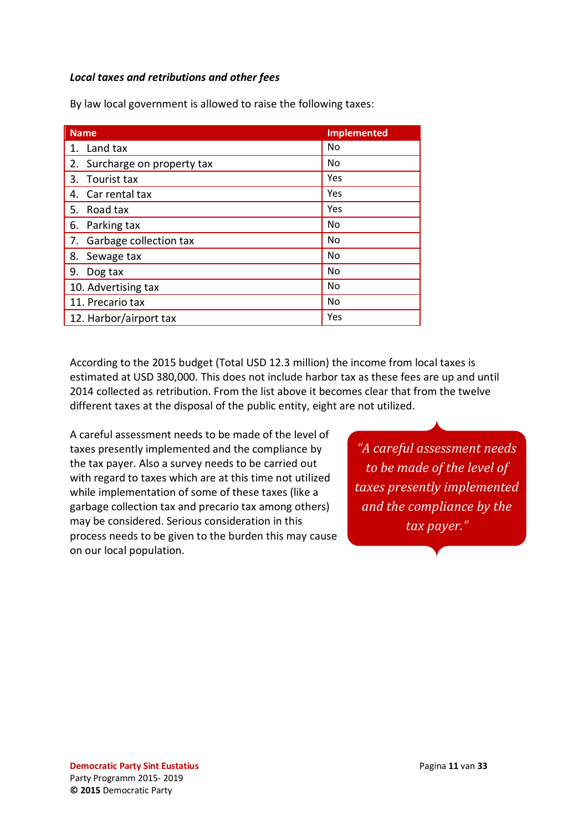#### <span id="page-10-0"></span>*Local taxes and retributions and other fees*

| <b>Name</b>                     | <b>Implemented</b> |
|---------------------------------|--------------------|
| Land tax<br>$\mathbf{1}$ .      | No                 |
| Surcharge on property tax<br>2. | No                 |
| Tourist tax<br>3.               | Yes                |
| Car rental tax<br>4.            | Yes                |
| Road tax<br>5.                  | Yes                |
| Parking tax<br>6.               | No                 |
| Garbage collection tax<br>7.    | No                 |
| Sewage tax<br>8.                | No                 |
| 9.<br>Dog tax                   | No                 |
| 10. Advertising tax             | No                 |
| 11. Precario tax                | No                 |
| 12. Harbor/airport tax          | Yes                |

By law local government is allowed to raise the following taxes:

According to the 2015 budget (Total USD 12.3 million) the income from local taxes is estimated at USD 380,000. This does not include harbor tax as these fees are up and until 2014 collected as retribution. From the list above it becomes clear that from the twelve different taxes at the disposal of the public entity, eight are not utilized.

A careful assessment needs to be made of the level of taxes presently implemented and the compliance by the tax payer. Also a survey needs to be carried out with regard to taxes which are at this time not utilized while implementation of some of these taxes (like a garbage collection tax and precario tax among others) may be considered. Serious consideration in this process needs to be given to the burden this may cause on our local population.

*"A careful assessment needs to be made of the level of taxes presently implemented and the compliance by the tax payer."*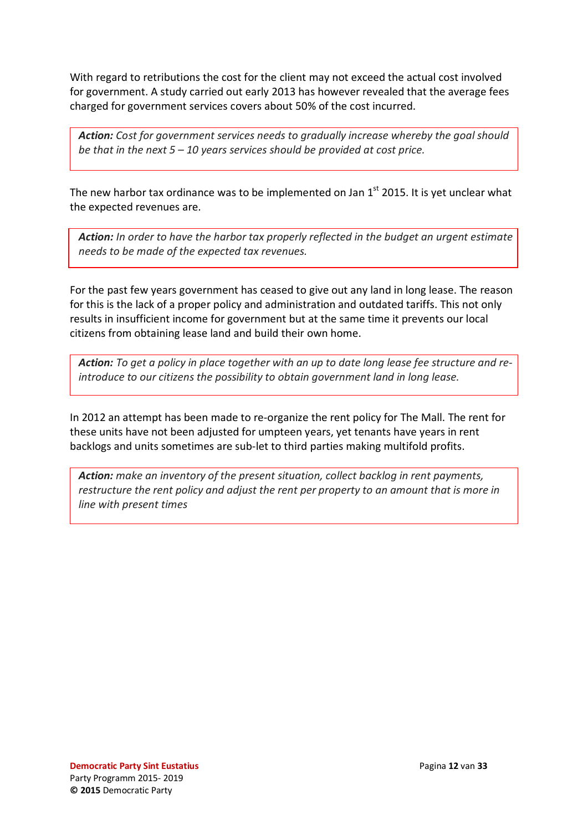With regard to retributions the cost for the client may not exceed the actual cost involved for government. A study carried out early 2013 has however revealed that the average fees charged for government services covers about 50% of the cost incurred.

*Action: Cost for government services needs to gradually increase whereby the goal should be that in the next 5 – 10 years services should be provided at cost price.*

The new harbor tax ordinance was to be implemented on Jan  $1<sup>st</sup>$  2015. It is yet unclear what the expected revenues are.

 *Action: In order to have the harbor tax properly reflected in the budget an urgent estimate needs to be made of the expected tax revenues.*

For the past few years government has ceased to give out any land in long lease. The reason for this is the lack of a proper policy and administration and outdated tariffs. This not only results in insufficient income for government but at the same time it prevents our local citizens from obtaining lease land and build their own home.

*Action: To get a policy in place together with an up to date long lease fee structure and reintroduce to our citizens the possibility to obtain government land in long lease.*

In 2012 an attempt has been made to re-organize the rent policy for The Mall. The rent for these units have not been adjusted for umpteen years, yet tenants have years in rent backlogs and units sometimes are sub-let to third parties making multifold profits.

*Action: make an inventory of the present situation, collect backlog in rent payments, restructure the rent policy and adjust the rent per property to an amount that is more in line with present times*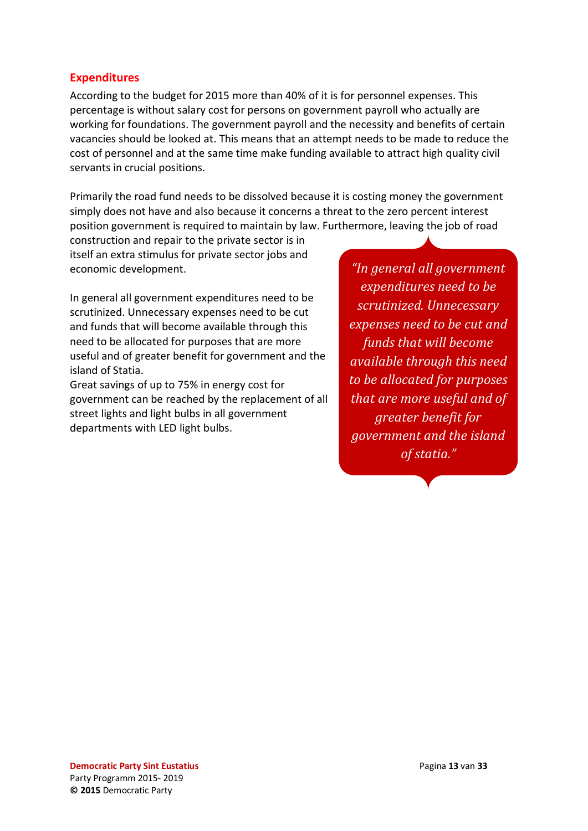#### <span id="page-12-0"></span>**Expenditures**

According to the budget for 2015 more than 40% of it is for personnel expenses. This percentage is without salary cost for persons on government payroll who actually are working for foundations. The government payroll and the necessity and benefits of certain vacancies should be looked at. This means that an attempt needs to be made to reduce the cost of personnel and at the same time make funding available to attract high quality civil servants in crucial positions.

Primarily the road fund needs to be dissolved because it is costing money the government simply does not have and also because it concerns a threat to the zero percent interest position government is required to maintain by law. Furthermore, leaving the job of road

construction and repair to the private sector is in itself an extra stimulus for private sector jobs and economic development.

In general all government expenditures need to be scrutinized. Unnecessary expenses need to be cut and funds that will become available through this need to be allocated for purposes that are more useful and of greater benefit for government and the island of Statia.

Great savings of up to 75% in energy cost for government can be reached by the replacement of all street lights and light bulbs in all government departments with LED light bulbs.

*"In general all government expenditures need to be scrutinized. Unnecessary expenses need to be cut and funds that will become available through this need to be allocated for purposes that are more useful and of greater benefit for government and the island of statia."*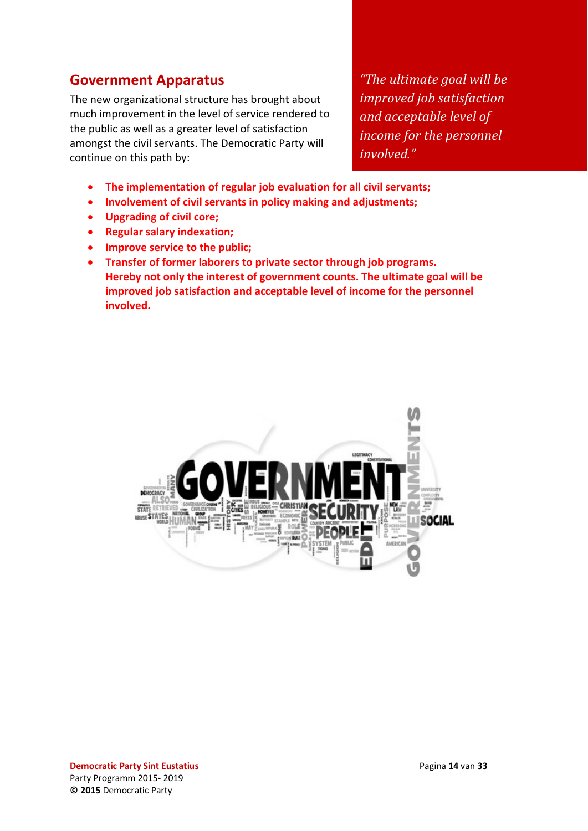### <span id="page-13-0"></span>**Government Apparatus**

The new organizational structure has brought about much improvement in the level of service rendered to the public as well as a greater level of satisfaction amongst the civil servants. The Democratic Party will continue on this path by:

*"The ultimate goal will be improved job satisfaction and acceptable level of income for the personnel involved."*

- **The implementation of regular job evaluation for all civil servants;**
- **Involvement of civil servants in policy making and adjustments;**
- **Upgrading of civil core;**
- **Regular salary indexation;**
- **Improve service to the public;**
- **Transfer of former laborers to private sector through job programs. Hereby not only the interest of government counts. The ultimate goal will be improved job satisfaction and acceptable level of income for the personnel involved.**

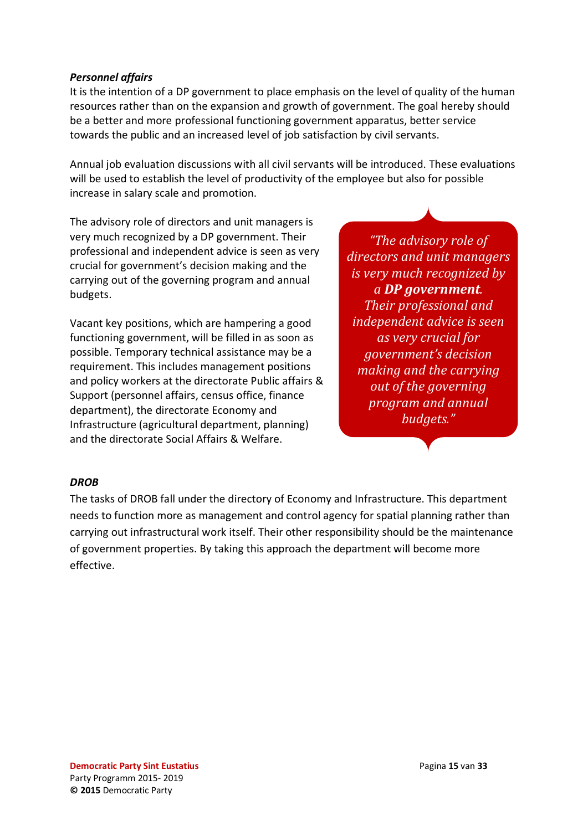#### <span id="page-14-0"></span>*Personnel affairs*

It is the intention of a DP government to place emphasis on the level of quality of the human resources rather than on the expansion and growth of government. The goal hereby should be a better and more professional functioning government apparatus, better service towards the public and an increased level of job satisfaction by civil servants.

Annual job evaluation discussions with all civil servants will be introduced. These evaluations will be used to establish the level of productivity of the employee but also for possible increase in salary scale and promotion.

The advisory role of directors and unit managers is very much recognized by a DP government. Their professional and independent advice is seen as very crucial for government's decision making and the carrying out of the governing program and annual budgets.

Vacant key positions, which are hampering a good functioning government, will be filled in as soon as possible. Temporary technical assistance may be a requirement. This includes management positions and policy workers at the directorate Public affairs & Support (personnel affairs, census office, finance department), the directorate Economy and Infrastructure (agricultural department, planning) and the directorate Social Affairs & Welfare.

*"The advisory role of directors and unit managers is very much recognized by a DP government. Their professional and independent advice is seen as very crucial for government's decision making and the carrying out of the governing program and annual budgets."*

#### <span id="page-14-1"></span>*DROB*

The tasks of DROB fall under the directory of Economy and Infrastructure. This department needs to function more as management and control agency for spatial planning rather than carrying out infrastructural work itself. Their other responsibility should be the maintenance of government properties. By taking this approach the department will become more effective.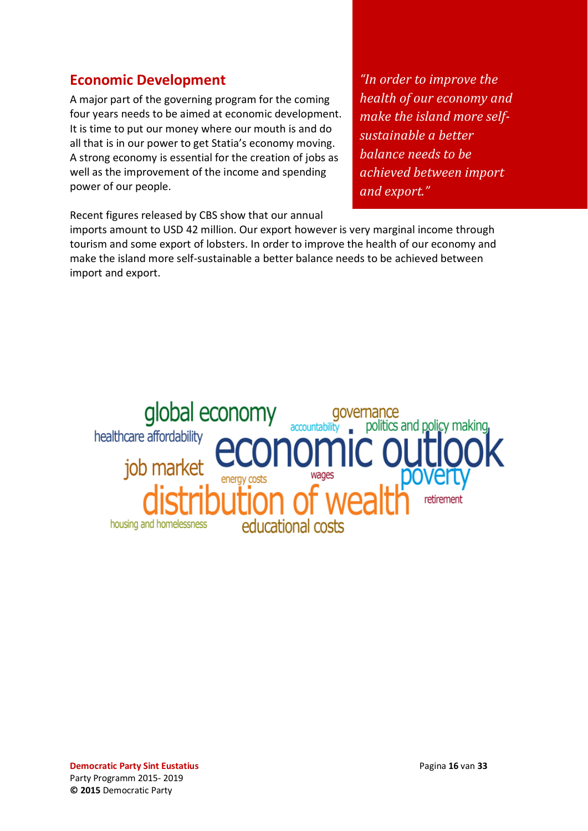### <span id="page-15-0"></span>**Economic Development**

A major part of the governing program for the coming four years needs to be aimed at economic development. It is time to put our money where our mouth is and do all that is in our power to get Statia's economy moving. A strong economy is essential for the creation of jobs as well as the improvement of the income and spending power of our people.

*"In order to improve the health of our economy and make the island more selfsustainable a better balance needs to be achieved between import and export."*

Recent figures released by CBS show that our annual

imports amount to USD 42 million. Our export however is very marginal income through tourism and some export of lobsters. In order to improve the health of our economy and make the island more self-sustainable a better balance needs to be achieved between import and export.

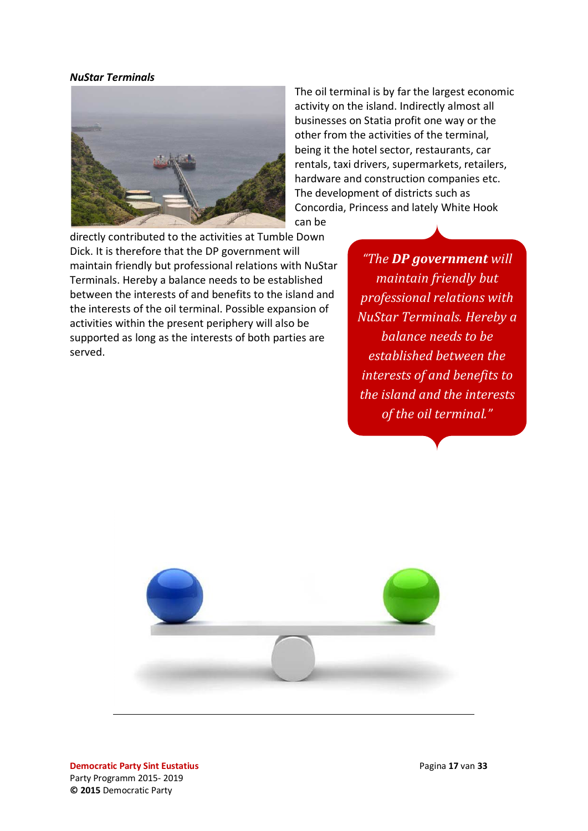#### *NuStar Terminals*



The oil terminal is by far the largest economic activity on the island. Indirectly almost all businesses on Statia profit one way or the other from the activities of the terminal, being it the hotel sector, restaurants, car rentals, taxi drivers, supermarkets, retailers, hardware and construction companies etc. The development of districts such as Concordia, Princess and lately White Hook can be

directly contributed to the activities at Tumble Down Dick. It is therefore that the DP government will maintain friendly but professional relations with NuStar Terminals. Hereby a balance needs to be established between the interests of and benefits to the island and the interests of the oil terminal. Possible expansion of activities within the present periphery will also be supported as long as the interests of both parties are served.

*"The DP government will maintain friendly but professional relations with NuStar Terminals. Hereby a balance needs to be established between the interests of and benefits to the island and the interests of the oil terminal."*

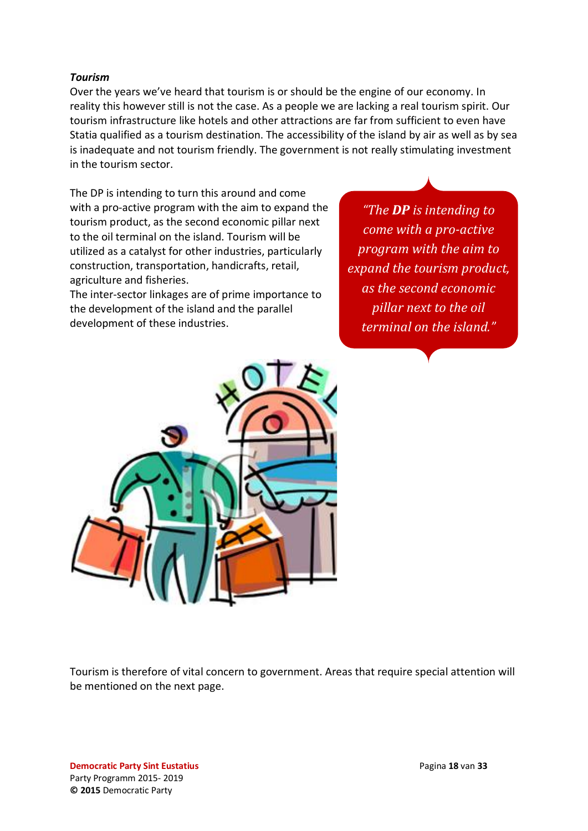#### <span id="page-17-0"></span>*Tourism*

Over the years we've heard that tourism is or should be the engine of our economy. In reality this however still is not the case. As a people we are lacking a real tourism spirit. Our tourism infrastructure like hotels and other attractions are far from sufficient to even have Statia qualified as a tourism destination. The accessibility of the island by air as well as by sea is inadequate and not tourism friendly. The government is not really stimulating investment in the tourism sector.

The DP is intending to turn this around and come with a pro-active program with the aim to expand the tourism product, as the second economic pillar next to the oil terminal on the island. Tourism will be utilized as a catalyst for other industries, particularly construction, transportation, handicrafts, retail, agriculture and fisheries.

The inter-sector linkages are of prime importance to the development of the island and the parallel development of these industries.

*"The DP is intending to come with a pro-active program with the aim to expand the tourism product, as the second economic pillar next to the oil terminal on the island."*



Tourism is therefore of vital concern to government. Areas that require special attention will be mentioned on the next page.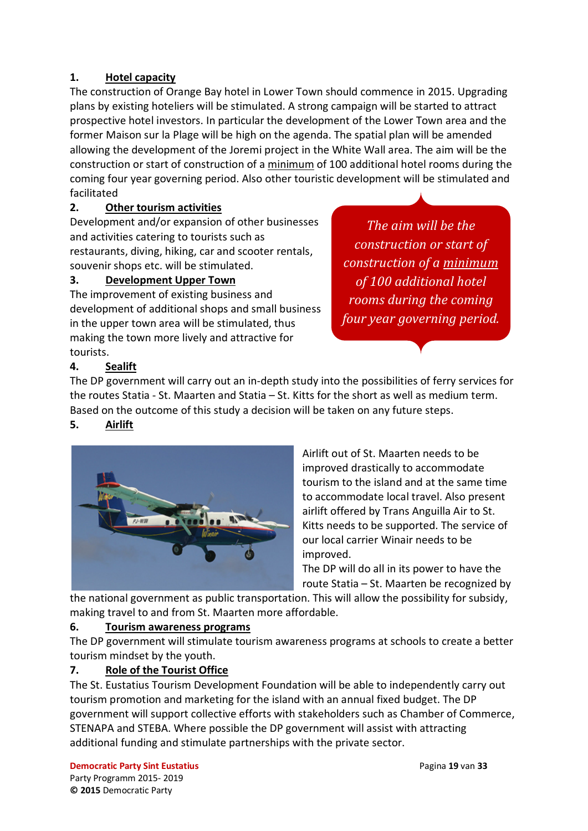#### **1. Hotel capacity**

The construction of Orange Bay hotel in Lower Town should commence in 2015. Upgrading plans by existing hoteliers will be stimulated. A strong campaign will be started to attract prospective hotel investors. In particular the development of the Lower Town area and the former Maison sur la Plage will be high on the agenda. The spatial plan will be amended allowing the development of the Joremi project in the White Wall area. The aim will be the construction or start of construction of a minimum of 100 additional hotel rooms during the coming four year governing period. Also other touristic development will be stimulated and facilitated

### **2. Other tourism activities**

Development and/or expansion of other businesses and activities catering to tourists such as restaurants, diving, hiking, car and scooter rentals, souvenir shops etc. will be stimulated.

### **3. Development Upper Town**

The improvement of existing business and development of additional shops and small business in the upper town area will be stimulated, thus making the town more lively and attractive for tourists.

*The aim will be the construction or start of construction of a minimum of 100 additional hotel rooms during the coming four year governing period.*

### **4. Sealift**

The DP government will carry out an in-depth study into the possibilities of ferry services for the routes Statia - St. Maarten and Statia – St. Kitts for the short as well as medium term. Based on the outcome of this study a decision will be taken on any future steps.

### **5. Airlift**



Airlift out of St. Maarten needs to be improved drastically to accommodate tourism to the island and at the same time to accommodate local travel. Also present airlift offered by Trans Anguilla Air to St. Kitts needs to be supported. The service of our local carrier Winair needs to be improved.

The DP will do all in its power to have the route Statia – St. Maarten be recognized by

the national government as public transportation. This will allow the possibility for subsidy, making travel to and from St. Maarten more affordable.

#### **6. Tourism awareness programs**

The DP government will stimulate tourism awareness programs at schools to create a better tourism mindset by the youth.

### **7. Role of the Tourist Office**

The St. Eustatius Tourism Development Foundation will be able to independently carry out tourism promotion and marketing for the island with an annual fixed budget. The DP government will support collective efforts with stakeholders such as Chamber of Commerce, STENAPA and STEBA. Where possible the DP government will assist with attracting additional funding and stimulate partnerships with the private sector.

**Democratic Party Sint Eustatius Pagina 19** van **33** Party Programm 2015- 2019 **© 2015** Democratic Party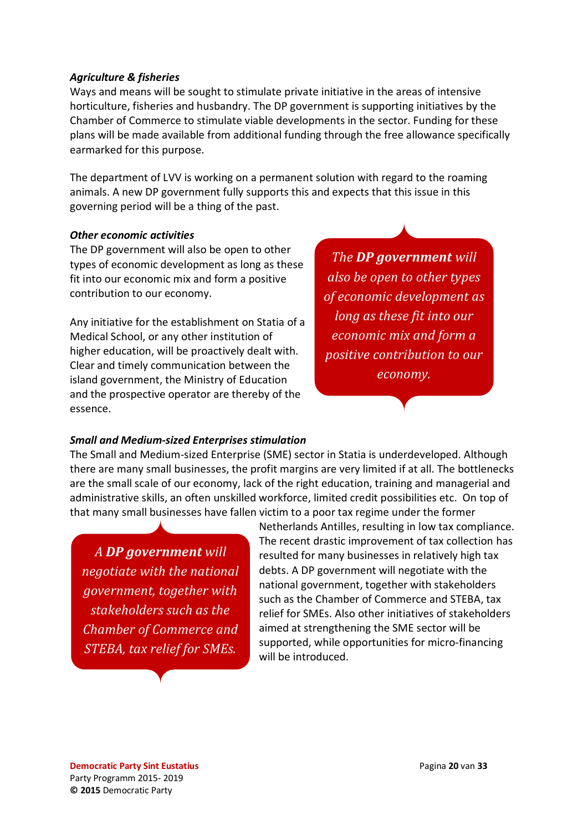#### <span id="page-19-0"></span>*Agriculture & fisheries*

Ways and means will be sought to stimulate private initiative in the areas of intensive horticulture, fisheries and husbandry. The DP government is supporting initiatives by the Chamber of Commerce to stimulate viable developments in the sector. Funding for these plans will be made available from additional funding through the free allowance specifically earmarked for this purpose.

The department of LVV is working on a permanent solution with regard to the roaming animals. A new DP government fully supports this and expects that this issue in this governing period will be a thing of the past.

#### *Other economic activities*

The DP government will also be open to other types of economic development as long as these fit into our economic mix and form a positive contribution to our economy.

Any initiative for the establishment on Statia of a Medical School, or any other institution of higher education, will be proactively dealt with. Clear and timely communication between the island government, the Ministry of Education and the prospective operator are thereby of the essence.

*The DP government will also be open to other types of economic development as long as these fit into our economic mix and form a positive contribution to our economy.*

#### *Small and Medium-sized Enterprises stimulation*

The Small and Medium-sized Enterprise (SME) sector in Statia is underdeveloped. Although there are many small businesses, the profit margins are very limited if at all. The bottlenecks are the small scale of our economy, lack of the right education, training and managerial and administrative skills, an often unskilled workforce, limited credit possibilities etc. On top of that many small businesses have fallen victim to a poor tax regime under the former

*A DP government will negotiate with the national government, together with stakeholders such as the Chamber of Commerce and STEBA, tax relief for SMEs.*

Netherlands Antilles, resulting in low tax compliance. The recent drastic improvement of tax collection has resulted for many businesses in relatively high tax debts. A DP government will negotiate with the national government, together with stakeholders such as the Chamber of Commerce and STEBA, tax relief for SMEs. Also other initiatives of stakeholders aimed at strengthening the SME sector will be supported, while opportunities for micro-financing will be introduced.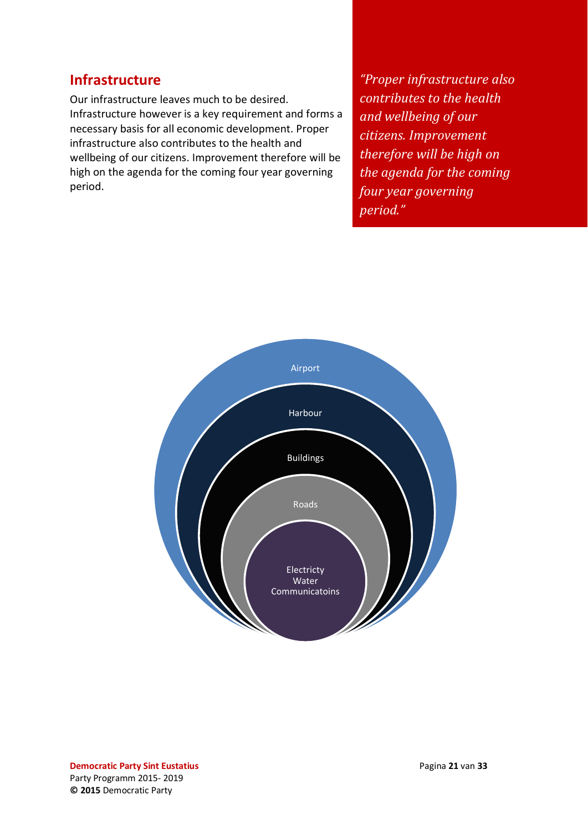### <span id="page-20-0"></span>**Infrastructure**

Our infrastructure leaves much to be desired. Infrastructure however is a key requirement and forms a necessary basis for all economic development. Proper infrastructure also contributes to the health and wellbeing of our citizens. Improvement therefore will be high on the agenda for the coming four year governing period.

*"Proper infrastructure also contributes to the health and wellbeing of our citizens. Improvement therefore will be high on the agenda for the coming four year governing period."*

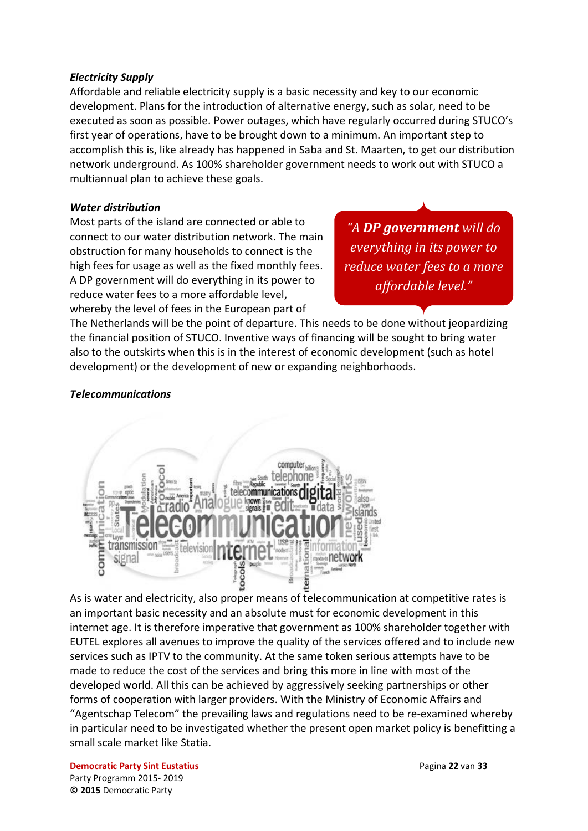#### <span id="page-21-0"></span>*Electricity Supply*

Affordable and reliable electricity supply is a basic necessity and key to our economic development. Plans for the introduction of alternative energy, such as solar, need to be executed as soon as possible. Power outages, which have regularly occurred during STUCO's first year of operations, have to be brought down to a minimum. An important step to accomplish this is, like already has happened in Saba and St. Maarten, to get our distribution network underground. As 100% shareholder government needs to work out with STUCO a multiannual plan to achieve these goals.

#### *Water distribution*

Most parts of the island are connected or able to connect to our water distribution network. The main obstruction for many households to connect is the high fees for usage as well as the fixed monthly fees. A DP government will do everything in its power to reduce water fees to a more affordable level, whereby the level of fees in the European part of

*"A DP government will do everything in its power to reduce water fees to a more affordable level."*

The Netherlands will be the point of departure. This needs to be done without jeopardizing the financial position of STUCO. Inventive ways of financing will be sought to bring water also to the outskirts when this is in the interest of economic development (such as hotel development) or the development of new or expanding neighborhoods.

#### <span id="page-21-1"></span>*Telecommunications*



As is water and electricity, also proper means of telecommunication at competitive rates is an important basic necessity and an absolute must for economic development in this internet age. It is therefore imperative that government as 100% shareholder together with EUTEL explores all avenues to improve the quality of the services offered and to include new services such as IPTV to the community. At the same token serious attempts have to be made to reduce the cost of the services and bring this more in line with most of the developed world. All this can be achieved by aggressively seeking partnerships or other forms of cooperation with larger providers. With the Ministry of Economic Affairs and "Agentschap Telecom" the prevailing laws and regulations need to be re-examined whereby in particular need to be investigated whether the present open market policy is benefitting a small scale market like Statia.

**Democratic Party Sint Eustatius Pagina 22** van **33** Party Programm 2015- 2019 **© 2015** Democratic Party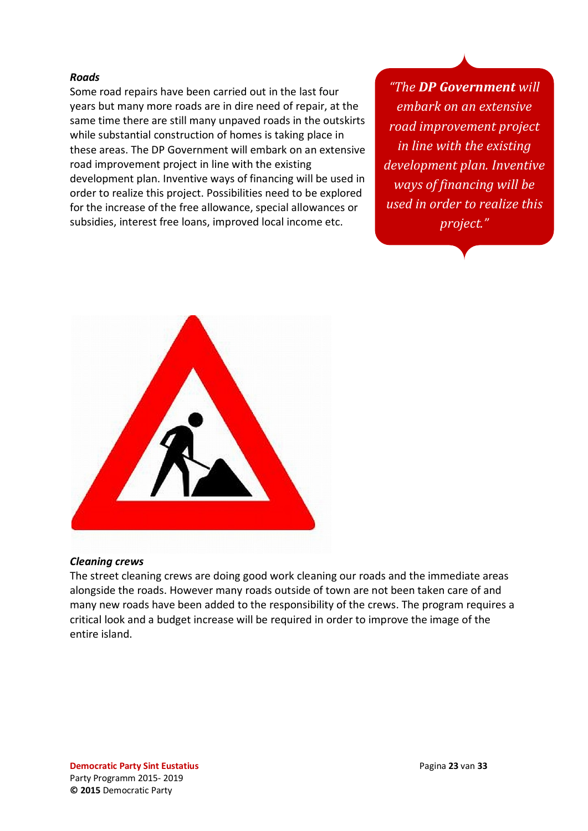#### *Roads*

Some road repairs have been carried out in the last four years but many more roads are in dire need of repair, at the same time there are still many unpaved roads in the outskirts while substantial construction of homes is taking place in these areas. The DP Government will embark on an extensive road improvement project in line with the existing development plan. Inventive ways of financing will be used in order to realize this project. Possibilities need to be explored for the increase of the free allowance, special allowances or subsidies, interest free loans, improved local income etc.

*"The DP Government will embark on an extensive road improvement project in line with the existing development plan. Inventive ways of financing will be used in order to realize this project."*



#### <span id="page-22-0"></span>*Cleaning crews*

The street cleaning crews are doing good work cleaning our roads and the immediate areas alongside the roads. However many roads outside of town are not been taken care of and many new roads have been added to the responsibility of the crews. The program requires a critical look and a budget increase will be required in order to improve the image of the entire island.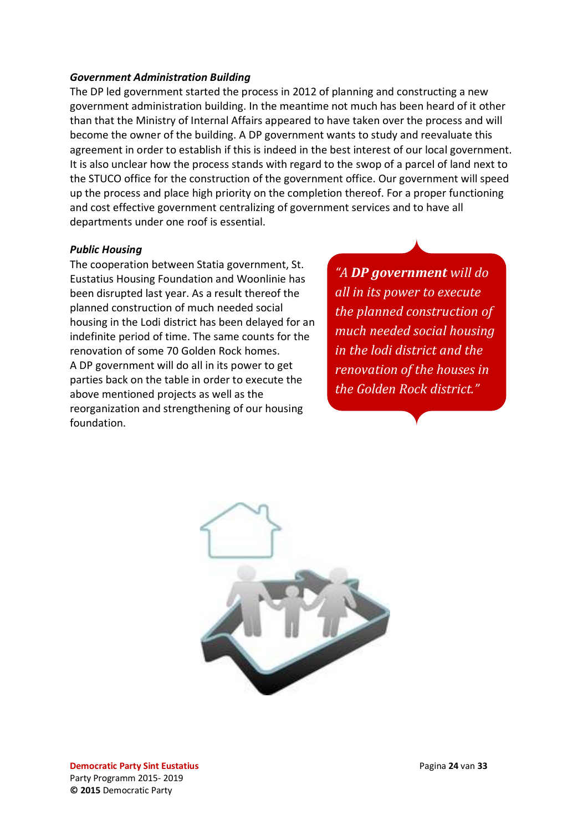#### <span id="page-23-0"></span>*Government Administration Building*

The DP led government started the process in 2012 of planning and constructing a new government administration building. In the meantime not much has been heard of it other than that the Ministry of Internal Affairs appeared to have taken over the process and will become the owner of the building. A DP government wants to study and reevaluate this agreement in order to establish if this is indeed in the best interest of our local government. It is also unclear how the process stands with regard to the swop of a parcel of land next to the STUCO office for the construction of the government office. Our government will speed up the process and place high priority on the completion thereof. For a proper functioning and cost effective government centralizing of government services and to have all departments under one roof is essential.

#### <span id="page-23-1"></span>*Public Housing*

The cooperation between Statia government, St. Eustatius Housing Foundation and Woonlinie has been disrupted last year. As a result thereof the planned construction of much needed social housing in the Lodi district has been delayed for an indefinite period of time. The same counts for the renovation of some 70 Golden Rock homes. A DP government will do all in its power to get parties back on the table in order to execute the above mentioned projects as well as the reorganization and strengthening of our housing foundation.

*"A DP government will do all in its power to execute the planned construction of much needed social housing in the lodi district and the renovation of the houses in the Golden Rock district."*

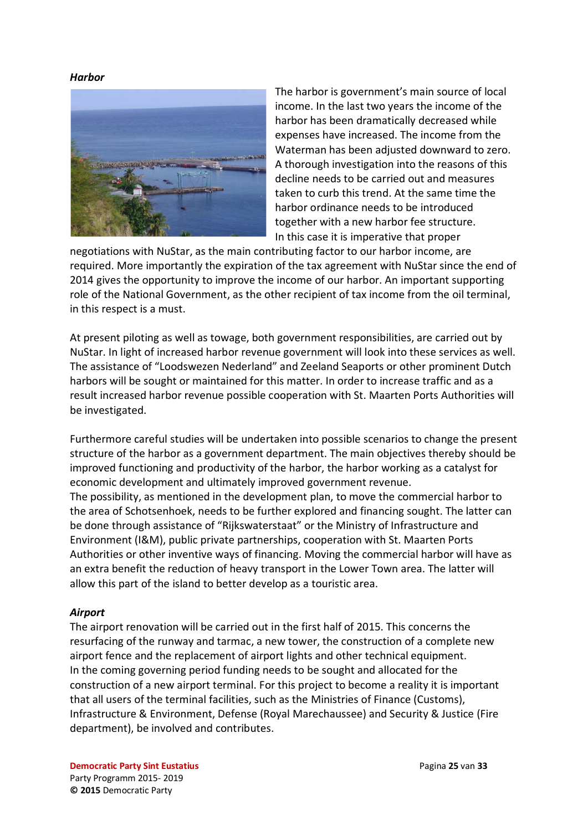#### <span id="page-24-0"></span>*Harbor*



The harbor is government's main source of local income. In the last two years the income of the harbor has been dramatically decreased while expenses have increased. The income from the Waterman has been adjusted downward to zero. A thorough investigation into the reasons of this decline needs to be carried out and measures taken to curb this trend. At the same time the harbor ordinance needs to be introduced together with a new harbor fee structure. In this case it is imperative that proper

negotiations with NuStar, as the main contributing factor to our harbor income, are required. More importantly the expiration of the tax agreement with NuStar since the end of 2014 gives the opportunity to improve the income of our harbor. An important supporting role of the National Government, as the other recipient of tax income from the oil terminal, in this respect is a must.

At present piloting as well as towage, both government responsibilities, are carried out by NuStar. In light of increased harbor revenue government will look into these services as well. The assistance of "Loodswezen Nederland" and Zeeland Seaports or other prominent Dutch harbors will be sought or maintained for this matter. In order to increase traffic and as a result increased harbor revenue possible cooperation with St. Maarten Ports Authorities will be investigated.

Furthermore careful studies will be undertaken into possible scenarios to change the present structure of the harbor as a government department. The main objectives thereby should be improved functioning and productivity of the harbor, the harbor working as a catalyst for economic development and ultimately improved government revenue. The possibility, as mentioned in the development plan, to move the commercial harbor to the area of Schotsenhoek, needs to be further explored and financing sought. The latter can be done through assistance of "Rijkswaterstaat" or the Ministry of Infrastructure and Environment (I&M), public private partnerships, cooperation with St. Maarten Ports Authorities or other inventive ways of financing. Moving the commercial harbor will have as an extra benefit the reduction of heavy transport in the Lower Town area. The latter will allow this part of the island to better develop as a touristic area.

#### <span id="page-24-1"></span>*Airport*

The airport renovation will be carried out in the first half of 2015. This concerns the resurfacing of the runway and tarmac, a new tower, the construction of a complete new airport fence and the replacement of airport lights and other technical equipment. In the coming governing period funding needs to be sought and allocated for the construction of a new airport terminal. For this project to become a reality it is important that all users of the terminal facilities, such as the Ministries of Finance (Customs), Infrastructure & Environment, Defense (Royal Marechaussee) and Security & Justice (Fire department), be involved and contributes.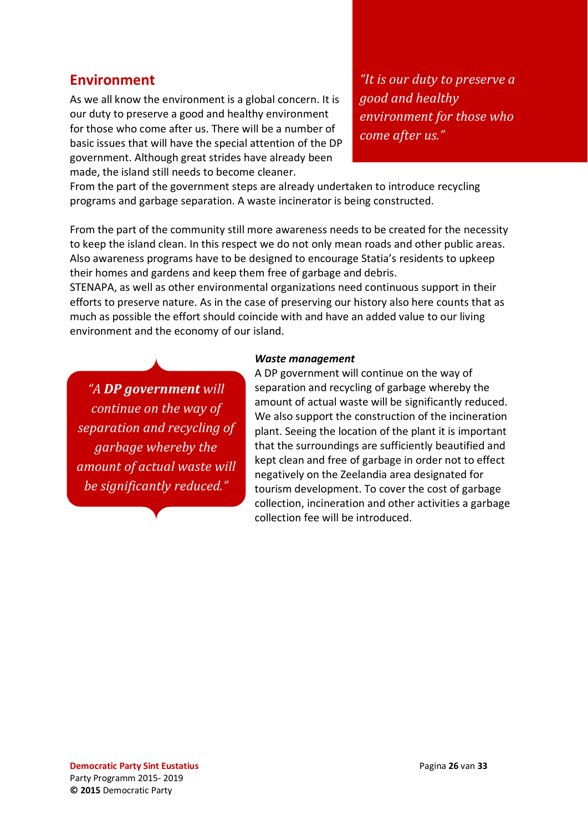### <span id="page-25-0"></span>**Environment**

As we all know the environment is a global concern. It is our duty to preserve a good and healthy environment for those who come after us. There will be a number of basic issues that will have the special attention of the DP government. Although great strides have already been made, the island still needs to become cleaner.

*"It is our duty to preserve a good and healthy environment for those who come after us."*

From the part of the government steps are already undertaken to introduce recycling programs and garbage separation. A waste incinerator is being constructed.

From the part of the community still more awareness needs to be created for the necessity to keep the island clean. In this respect we do not only mean roads and other public areas. Also awareness programs have to be designed to encourage Statia's residents to upkeep their homes and gardens and keep them free of garbage and debris.

STENAPA, as well as other environmental organizations need continuous support in their efforts to preserve nature. As in the case of preserving our history also here counts that as much as possible the effort should coincide with and have an added value to our living environment and the economy of our island.

*"A DP government will continue on the way of separation and recycling of garbage whereby the amount of actual waste will be significantly reduced."*

#### *Waste management*

A DP government will continue on the way of separation and recycling of garbage whereby the amount of actual waste will be significantly reduced. We also support the construction of the incineration plant. Seeing the location of the plant it is important that the surroundings are sufficiently beautified and kept clean and free of garbage in order not to effect negatively on the Zeelandia area designated for tourism development. To cover the cost of garbage collection, incineration and other activities a garbage collection fee will be introduced.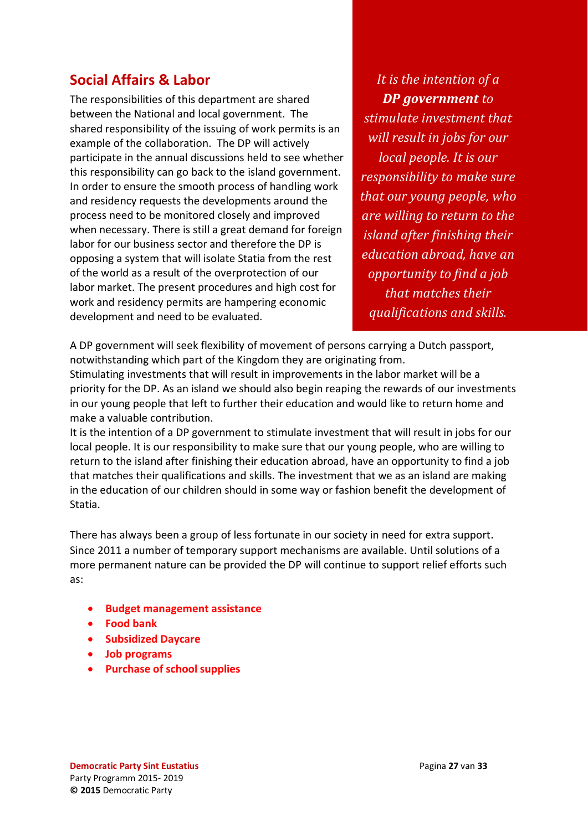### <span id="page-26-0"></span>**Social Affairs & Labor**

The responsibilities of this department are shared between the National and local government. The shared responsibility of the issuing of work permits is an example of the collaboration. The DP will actively participate in the annual discussions held to see whether this responsibility can go back to the island government. In order to ensure the smooth process of handling work and residency requests the developments around the process need to be monitored closely and improved when necessary. There is still a great demand for foreign labor for our business sector and therefore the DP is opposing a system that will isolate Statia from the rest of the world as a result of the overprotection of our labor market. The present procedures and high cost for work and residency permits are hampering economic development and need to be evaluated.

*It is the intention of a DP government to stimulate investment that will result in jobs for our local people. It is our responsibility to make sure that our young people, who are willing to return to the island after finishing their education abroad, have an opportunity to find a job that matches their qualifications and skills.*

A DP government will seek flexibility of movement of persons carrying a Dutch passport, notwithstanding which part of the Kingdom they are originating from.

Stimulating investments that will result in improvements in the labor market will be a priority for the DP. As an island we should also begin reaping the rewards of our investments in our young people that left to further their education and would like to return home and make a valuable contribution.

It is the intention of a DP government to stimulate investment that will result in jobs for our local people. It is our responsibility to make sure that our young people, who are willing to return to the island after finishing their education abroad, have an opportunity to find a job that matches their qualifications and skills. The investment that we as an island are making in the education of our children should in some way or fashion benefit the development of Statia.

There has always been a group of less fortunate in our society in need for extra support. Since 2011 a number of temporary support mechanisms are available. Until solutions of a more permanent nature can be provided the DP will continue to support relief efforts such as:

- **Budget management assistance**
- **Food bank**
- **Subsidized Daycare**
- **Job programs**
- **Purchase of school supplies**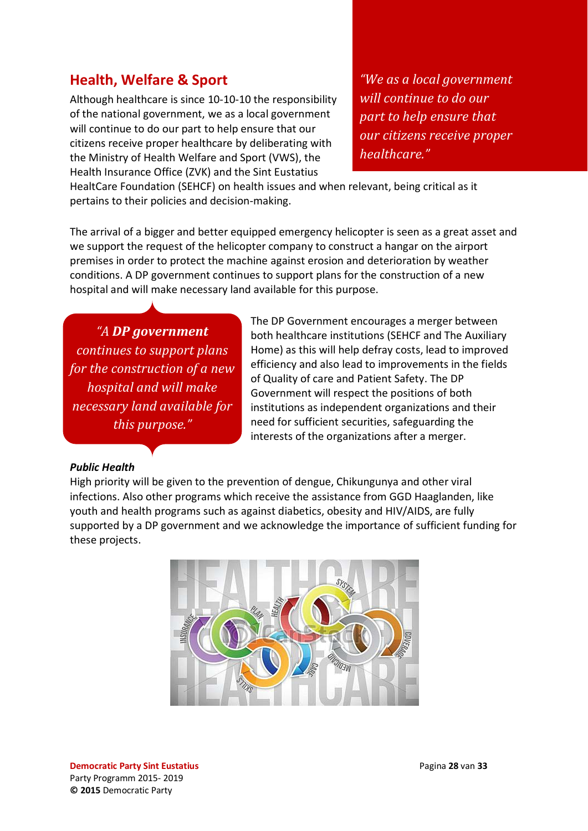### <span id="page-27-0"></span>**Health, Welfare & Sport**

Although healthcare is since 10-10-10 the responsibility of the national government, we as a local government will continue to do our part to help ensure that our citizens receive proper healthcare by deliberating with the Ministry of Health Welfare and Sport (VWS), the Health Insurance Office (ZVK) and the Sint Eustatius

*"We as a local government will continue to do our part to help ensure that our citizens receive proper healthcare."*

HealtCare Foundation (SEHCF) on health issues and when relevant, being critical as it pertains to their policies and decision-making.

The arrival of a bigger and better equipped emergency helicopter is seen as a great asset and we support the request of the helicopter company to construct a hangar on the airport premises in order to protect the machine against erosion and deterioration by weather conditions. A DP government continues to support plans for the construction of a new hospital and will make necessary land available for this purpose.

*"A DP government continues to support plans for the construction of a new hospital and will make necessary land available for this purpose."*

The DP Government encourages a merger between both healthcare institutions (SEHCF and The Auxiliary Home) as this will help defray costs, lead to improved efficiency and also lead to improvements in the fields of Quality of care and Patient Safety. The DP Government will respect the positions of both institutions as independent organizations and their need for sufficient securities, safeguarding the interests of the organizations after a merger.

#### <span id="page-27-1"></span>*Public Health*

High priority will be given to the prevention of dengue, Chikungunya and other viral infections. Also other programs which receive the assistance from GGD Haaglanden, like youth and health programs such as against diabetics, obesity and HIV/AIDS, are fully supported by a DP government and we acknowledge the importance of sufficient funding for these projects.

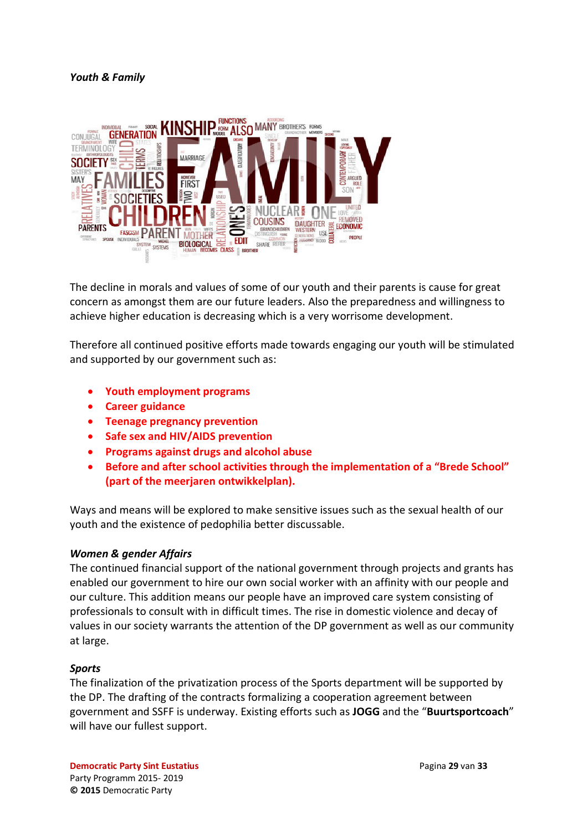#### <span id="page-28-0"></span>*Youth & Family*



The decline in morals and values of some of our youth and their parents is cause for great concern as amongst them are our future leaders. Also the preparedness and willingness to achieve higher education is decreasing which is a very worrisome development.

Therefore all continued positive efforts made towards engaging our youth will be stimulated and supported by our government such as:

- **Youth employment programs**
- **Career guidance**
- **Teenage pregnancy prevention**
- **Safe sex and HIV/AIDS prevention**
- **Programs against drugs and alcohol abuse**
- **Before and after school activities through the implementation of a "Brede School" (part of the meerjaren ontwikkelplan).**

Ways and means will be explored to make sensitive issues such as the sexual health of our youth and the existence of pedophilia better discussable.

#### <span id="page-28-1"></span>*Women & gender Affairs*

The continued financial support of the national government through projects and grants has enabled our government to hire our own social worker with an affinity with our people and our culture. This addition means our people have an improved care system consisting of professionals to consult with in difficult times. The rise in domestic violence and decay of values in our society warrants the attention of the DP government as well as our community at large.

#### <span id="page-28-2"></span>*Sports*

The finalization of the privatization process of the Sports department will be supported by the DP. The drafting of the contracts formalizing a cooperation agreement between government and SSFF is underway. Existing efforts such as **JOGG** and the "**Buurtsportcoach**" will have our fullest support.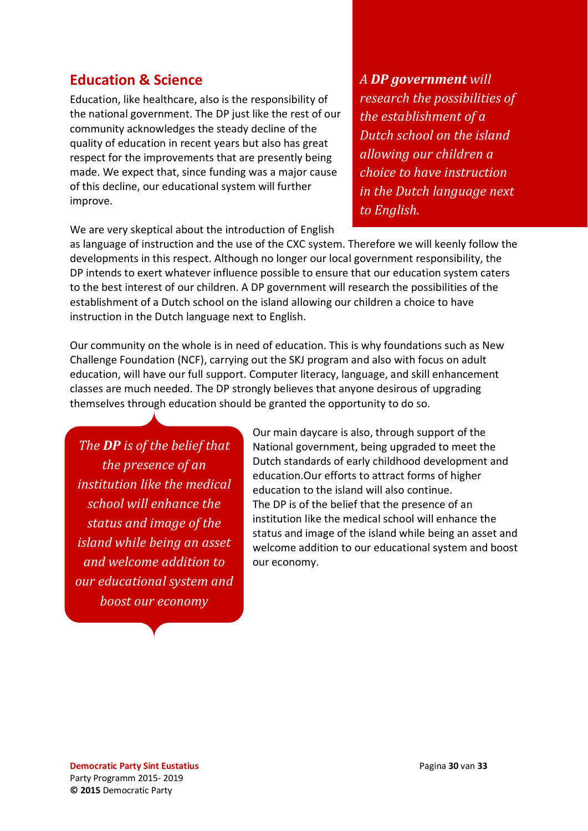### <span id="page-29-0"></span>**Education & Science**

Education, like healthcare, also is the responsibility of the national government. The DP just like the rest of our community acknowledges the steady decline of the quality of education in recent years but also has great respect for the improvements that are presently being made. We expect that, since funding was a major cause of this decline, our educational system will further improve.

We are very skeptical about the introduction of English

*A DP government will research the possibilities of the establishment of a Dutch school on the island allowing our children a choice to have instruction in the Dutch language next to English.* 

as language of instruction and the use of the CXC system. Therefore we will keenly follow the developments in this respect. Although no longer our local government responsibility, the DP intends to exert whatever influence possible to ensure that our education system caters to the best interest of our children. A DP government will research the possibilities of the establishment of a Dutch school on the island allowing our children a choice to have instruction in the Dutch language next to English.

Our community on the whole is in need of education. This is why foundations such as New Challenge Foundation (NCF), carrying out the SKJ program and also with focus on adult education, will have our full support. Computer literacy, language, and skill enhancement classes are much needed. The DP strongly believes that anyone desirous of upgrading themselves through education should be granted the opportunity to do so.

*The DP is of the belief that the presence of an institution like the medical school will enhance the status and image of the island while being an asset and welcome addition to our educational system and boost our economy*

Our main daycare is also, through support of the National government, being upgraded to meet the Dutch standards of early childhood development and education.Our efforts to attract forms of higher education to the island will also continue. The DP is of the belief that the presence of an institution like the medical school will enhance the status and image of the island while being an asset and welcome addition to our educational system and boost our economy.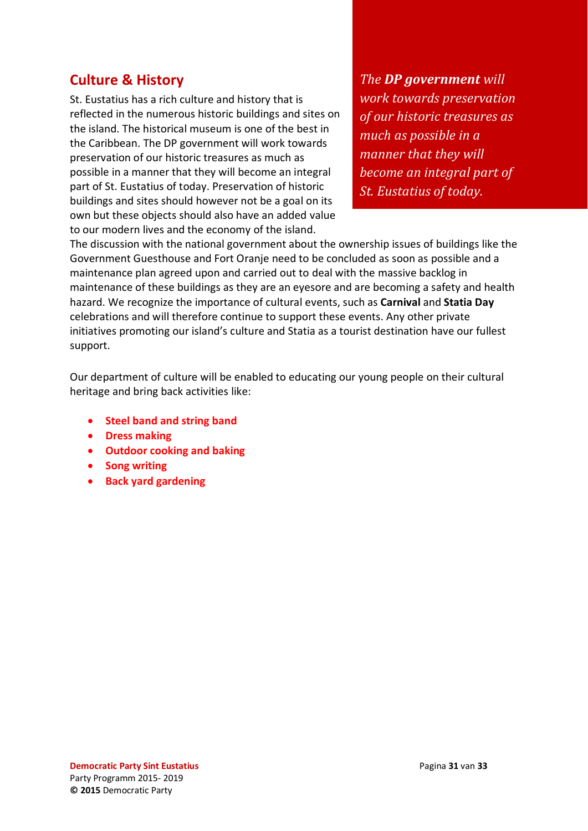### <span id="page-30-0"></span>**Culture & History**

St. Eustatius has a rich culture and history that is reflected in the numerous historic buildings and sites on the island. The historical museum is one of the best in the Caribbean. The DP government will work towards preservation of our historic treasures as much as possible in a manner that they will become an integral part of St. Eustatius of today. Preservation of historic buildings and sites should however not be a goal on its own but these objects should also have an added value to our modern lives and the economy of the island.

*The DP government will work towards preservation of our historic treasures as much as possible in a manner that they will become an integral part of St. Eustatius of today.*

The discussion with the national government about the ownership issues of buildings like the Government Guesthouse and Fort Oranje need to be concluded as soon as possible and a maintenance plan agreed upon and carried out to deal with the massive backlog in maintenance of these buildings as they are an eyesore and are becoming a safety and health hazard. We recognize the importance of cultural events, such as **Carnival** and **Statia Day** celebrations and will therefore continue to support these events. Any other private initiatives promoting our island's culture and Statia as a tourist destination have our fullest support.

Our department of culture will be enabled to educating our young people on their cultural heritage and bring back activities like:

- **Steel band and string band**
- **Dress making**
- **Outdoor cooking and baking**
- **Song writing**
- **Back yard gardening**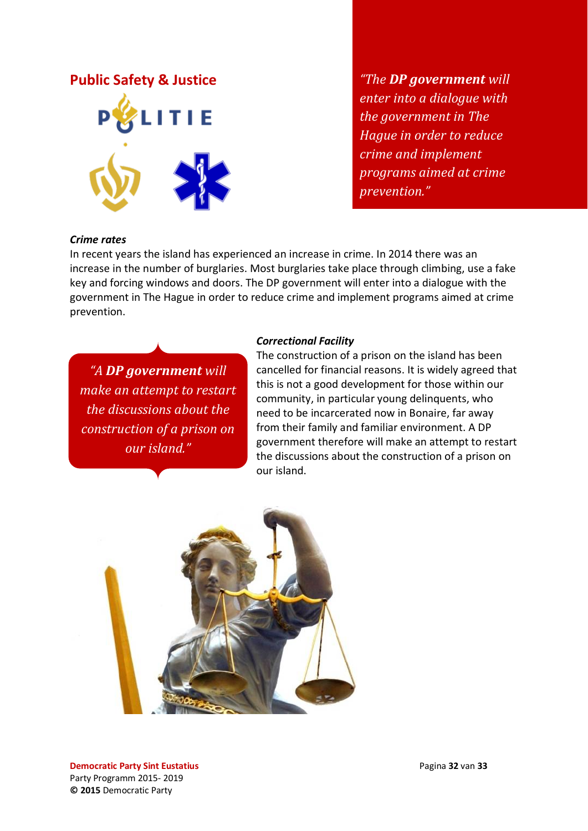### <span id="page-31-0"></span>**Public Safety & Justice**



*"The DP government will enter into a dialogue with the government in The Hague in order to reduce crime and implement programs aimed at crime prevention."*

#### <span id="page-31-1"></span>*Crime rates*

In recent years the island has experienced an increase in crime. In 2014 there was an increase in the number of burglaries. Most burglaries take place through climbing, use a fake key and forcing windows and doors. The DP government will enter into a dialogue with the government in The Hague in order to reduce crime and implement programs aimed at crime prevention.

*"A DP government will make an attempt to restart the discussions about the construction of a prison on our island."*

#### <span id="page-31-2"></span>*Correctional Facility*

The construction of a prison on the island has been cancelled for financial reasons. It is widely agreed that this is not a good development for those within our community, in particular young delinquents, who need to be incarcerated now in Bonaire, far away from their family and familiar environment. A DP government therefore will make an attempt to restart the discussions about the construction of a prison on our island.